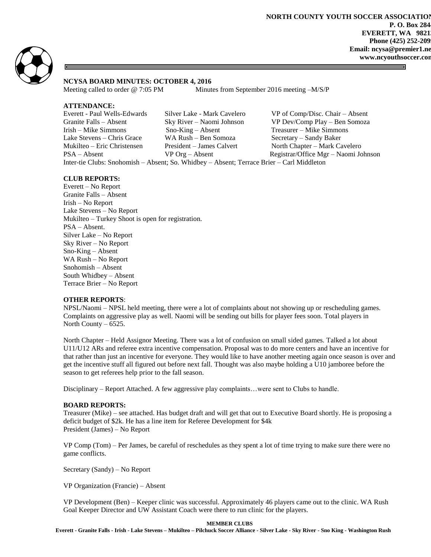

## **NCYSA BOARD MINUTES: OCTOBER 4, 2016**

Meeting called to order @ 7:05 PM Minutes from September 2016 meeting -M/S/P

### **ATTENDANCE:**

| Everett - Paul Wells-Edwards                                                              | Silver Lake - Mark Cavelero | VP of Comp/Disc. Chair - Absent      |
|-------------------------------------------------------------------------------------------|-----------------------------|--------------------------------------|
| Granite Falls – Absent                                                                    | Sky River – Naomi Johnson   | VP Dev/Comp Play - Ben Somoza        |
| Irish – Mike Simmons                                                                      | $Sno-King - Absent$         | Treasurer – Mike Simmons             |
| Lake Stevens – Chris Grace                                                                | WA Rush – Ben Somoza        | Secretary – Sandy Baker              |
| Mukilteo – Eric Christensen                                                               | President – James Calvert   | North Chapter – Mark Cavelero        |
| $PSA - Absent$                                                                            | $VP$ Org – Absent           | Registrar/Office Mgr – Naomi Johnson |
| Inter-tie Clubs: Snohomish - Absent; So. Whidbey - Absent; Terrace Brier - Carl Middleton |                             |                                      |

### **CLUB REPORTS:**

Everett – No Report Granite Falls – Absent Irish – No Report Lake Stevens – No Report Mukilteo – Turkey Shoot is open for registration. PSA – Absent. Silver Lake – No Report Sky River – No Report Sno-King – Absent WA Rush – No Report Snohomish – Absent South Whidbey – Absent Terrace Brier – No Report

#### **OTHER REPORTS**:

NPSL/Naomi – NPSL held meeting, there were a lot of complaints about not showing up or rescheduling games. Complaints on aggressive play as well. Naomi will be sending out bills for player fees soon. Total players in North County – 6525.

North Chapter – Held Assignor Meeting. There was a lot of confusion on small sided games. Talked a lot about U11/U12 ARs and referee extra incentive compensation. Proposal was to do more centers and have an incentive for that rather than just an incentive for everyone. They would like to have another meeting again once season is over and get the incentive stuff all figured out before next fall. Thought was also maybe holding a U10 jamboree before the season to get referees help prior to the fall season.

Disciplinary – Report Attached. A few aggressive play complaints…were sent to Clubs to handle.

#### **BOARD REPORTS:**

Treasurer (Mike) – see attached. Has budget draft and will get that out to Executive Board shortly. He is proposing a deficit budget of \$2k. He has a line item for Referee Development for \$4k President (James) – No Report

VP Comp (Tom) – Per James, be careful of reschedules as they spent a lot of time trying to make sure there were no game conflicts.

Secretary (Sandy) – No Report

VP Organization (Francie) – Absent

VP Development (Ben) – Keeper clinic was successful. Approximately 46 players came out to the clinic. WA Rush Goal Keeper Director and UW Assistant Coach were there to run clinic for the players.

#### **MEMBER CLUBS**

**Everett - Granite Falls - Irish - Lake Stevens – Mukilteo – Pilchuck Soccer Alliance - Silver Lake - Sky River - Sno King - Washington Rush**